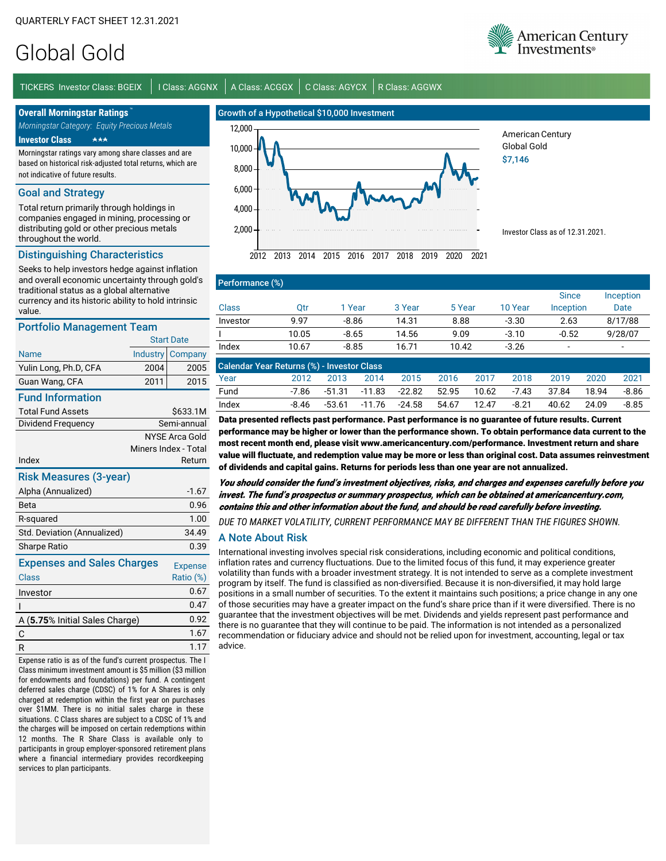# Global Gold

TICKERS Investor Class: BGEIX | I Class: AGGNX | A Class: ACGGX | C Class: AGYCX | R Class: AGGWX

**Overall Morningstar Ratings** 

*Morningstar Category: Equity Precious Metals* **Investor Class** -

Morningstar ratings vary among share classes and are based on historical risk-adjusted total returns, which are not indicative of future results.

#### Goal and Strategy

Total return primarily through holdings in companies engaged in mining, processing or distributing gold or other precious metals throughout the world.

### Distinguishing Characteristics

Seeks to help investors hedge against inflation and overall economic uncertainty through gold's traditional status as a global alternative currency and its historic ability to hold intrinsic value.

#### Portfolio Management Team

| Portfolio Management Team         |                   |                       |  |  |  |  |  |
|-----------------------------------|-------------------|-----------------------|--|--|--|--|--|
|                                   | <b>Start Date</b> |                       |  |  |  |  |  |
| Name                              | <b>Industry</b>   | Company               |  |  |  |  |  |
| Yulin Long, Ph.D, CFA             | 2004              | 2005                  |  |  |  |  |  |
| Guan Wang, CFA                    | 2011              | 2015                  |  |  |  |  |  |
| <b>Fund Information</b>           |                   |                       |  |  |  |  |  |
| <b>Total Fund Assets</b>          |                   | \$633.1M              |  |  |  |  |  |
| Dividend Frequency                |                   | Semi-annual           |  |  |  |  |  |
|                                   |                   | <b>NYSE Arca Gold</b> |  |  |  |  |  |
|                                   |                   | Miners Index - Total  |  |  |  |  |  |
| Index                             |                   | Return                |  |  |  |  |  |
| <b>Risk Measures (3-year)</b>     |                   |                       |  |  |  |  |  |
| Alpha (Annualized)                |                   | $-1.67$               |  |  |  |  |  |
| Beta                              |                   | 0.96                  |  |  |  |  |  |
| R-squared                         |                   | 1.00                  |  |  |  |  |  |
| Std. Deviation (Annualized)       |                   | 34.49                 |  |  |  |  |  |
| <b>Sharpe Ratio</b>               |                   | 0.39                  |  |  |  |  |  |
| <b>Expenses and Sales Charges</b> |                   | <b>Expense</b>        |  |  |  |  |  |
| Class                             |                   | Ratio (%)             |  |  |  |  |  |
| Investor                          |                   | 0.67                  |  |  |  |  |  |
| ı                                 |                   | 0.47                  |  |  |  |  |  |
| A (5.75% Initial Sales Charge)    |                   | 0.92                  |  |  |  |  |  |
| С                                 |                   | 1.67                  |  |  |  |  |  |
| R                                 |                   | 1.17                  |  |  |  |  |  |

Expense ratio is as of the fund's current prospectus. The I Class minimum investment amount is \$5 million (\$3 million for endowments and foundations) per fund. A contingent deferred sales charge (CDSC) of 1% for A Shares is only charged at redemption within the first year on purchases over \$1MM. There is no initial sales charge in these situations. C Class shares are subject to a CDSC of 1% and the charges will be imposed on certain redemptions within 12 months. The R Share Class is available only to participants in group employer-sponsored retirement plans where a financial intermediary provides recordkeeping services to plan participants.



American Century Global Gold \$7,146

Investor Class as of 12.31.2021.

## Performance (%)

|          |       |         |        |        |         | <b>Since</b> | Inception                |
|----------|-------|---------|--------|--------|---------|--------------|--------------------------|
| Class    | Эtr   | 1 Year  | 3 Year | 5 Year | 10 Year | Inception    | Date                     |
| Investor | 9.97  | $-8.86$ | 14.31  | 8.88   | $-3.30$ | 2.63         | 8/17/88                  |
|          | 10.05 | $-8.65$ | 14.56  | 9.09   | $-3.10$ | $-0.52$      | 9/28/07                  |
| Index    | 10.67 | $-8.85$ | 16.71  | 10.42  | $-3.26$ | -            | $\overline{\phantom{a}}$ |

| Calendar Year Returns (%) - Investor Class |       |      |      |                                    |      |       |         |       |       |         |
|--------------------------------------------|-------|------|------|------------------------------------|------|-------|---------|-------|-------|---------|
| Year                                       | 2012  | 2013 | 2014 | 2015                               | 2016 | 2017  | 2018    | 2019  | 2020  | 2021    |
| Fund                                       |       |      |      | -7.86 -51.31 -11.83 -22.82 52.95   |      | 10.62 | -7.43   | 37.84 | 18.94 | $-8.86$ |
| Index                                      | -8.46 |      |      | $-53.61$ $-11.76$ $-24.58$ $54.67$ |      | 12.47 | $-8.21$ | 40.62 | 24.09 | -8.85   |

Data presented reflects past performance. Past performance is no guarantee of future results. Current performance may be higher or lower than the performance shown. To obtain performance data current to the most recent month end, please visit www.americancentury.com/performance. Investment return and share value will fluctuate, and redemption value may be more or less than original cost. Data assumes reinvestment of dividends and capital gains. Returns for periods less than one year are not annualized.

You should consider the fund's investment objectives, risks, and charges and expenses carefully before you invest. The fund's prospectus or summary prospectus, which can be obtained at americancentury.com, contains this and other information about the fund, and should be read carefully before investing.

*DUE TO MARKET VOLATILITY, CURRENT PERFORMANCE MAY BE DIFFERENT THAN THE FIGURES SHOWN.*

## A Note About Risk

International investing involves special risk considerations, including economic and political conditions, inflation rates and currency fluctuations. Due to the limited focus of this fund, it may experience greater volatility than funds with a broader investment strategy. It is not intended to serve as a complete investment program by itself. The fund is classified as non-diversified. Because it is non-diversified, it may hold large positions in a small number of securities. To the extent it maintains such positions; a price change in any one of those securities may have a greater impact on the fund's share price than if it were diversified. There is no guarantee that the investment objectives will be met. Dividends and yields represent past performance and there is no guarantee that they will continue to be paid. The information is not intended as a personalized recommendation or fiduciary advice and should not be relied upon for investment, accounting, legal or tax advice.